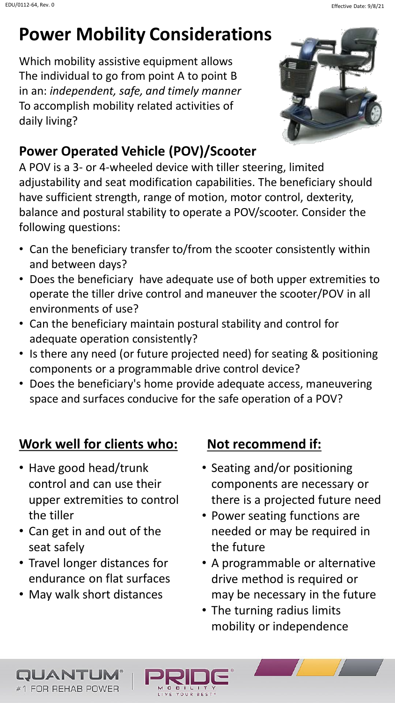# **Power Mobility Consideratio[ns](http://www.prideprovider.com/?p=6717)**

Which mobility assistive equipment allows The individual to go from point A to point B in an: *independent, safe, and timely manner* To accomplish mobility related activities of daily living?



## **Power Operated Vehicle (POV)/Scooter**

A POV is a 3- or 4-wheeled device with tiller steering, limited adjustability and seat modification capabilities. The beneficiary should have sufficient strength, range of motion, motor control, dexterity, balance and postural stability to operate a POV/scooter. Consider the following questions:

- Can the beneficiary transfer to/from the scooter consistently within and between days?
- Does the beneficiary have adequate use of both upper extremities to operate the tiller drive control and maneuver the scooter/POV in all environments of use?
- Can the beneficiary maintain postural stability and control for adequate operation consistently?
- Is there any need (or future projected need) for seating & positioning components or a programmable drive control device?
- Does the beneficiary's home provide adequate access, maneuvering space and surfaces conducive for the safe operation of a POV?

YOUR

## **Work well for clients who: Not recommend if:**

- Have good head/trunk control and can use their upper extremities to control the tiller
- Can get in and out of the seat safely
- Travel longer distances for endurance on flat surfaces
- May walk short distances

QUANTUN #1 FOR REHAB POWER

- Seating and/or positioning components are necessary or there is a projected future need
- Power seating functions are needed or may be required in the future
- A programmable or alternative drive method is required or may be necessary in the future
- The turning radius limits mobility or independence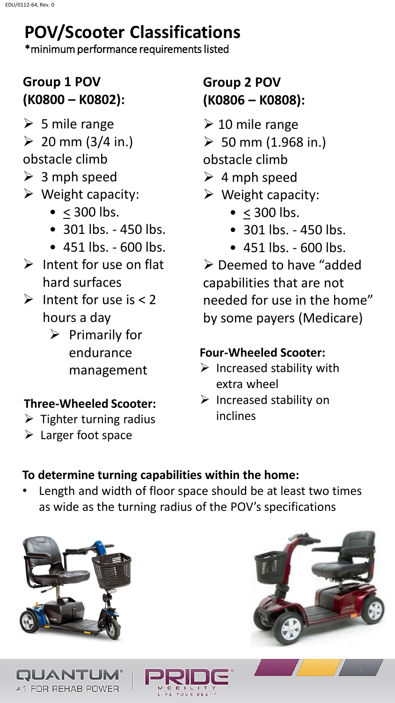# **POV/Scooter Classifications**

\*minimum performance requirements listed

## **Group 1 POV (K0800 – K0802):**

- $\triangleright$  5 mile range
- $\geq 20$  mm (3/4 in.)
- obstacle climb
- $\geq 3$  mph speed
- $\triangleright$  Weight capacity:
	- $\bullet$  < 300 lbs.
	- 301 lbs. 450 lbs.
	- 451 lbs. 600 lbs.
- $\triangleright$  Intent for use on flat hard surfaces
- Intent for use is  $< 2$ hours a day
	- $\triangleright$  Primarily for endurance management

### **Three-Wheeled Scooter:**

- $\triangleright$  Tighter turning radius
- Larger foot space

## **Group 2 POV (K0806 – K0808):**

- $\geq 10$  mile range
- $>$  50 mm (1.968 in.)
- obstacle climb
- $\geq 4$  mph speed
- $\triangleright$  Weight capacity:
	- $\bullet$  < 300 lbs.
	- 301 lbs. 450 lbs.
	- 451 lbs. 600 lbs.

 Deemed to have "added capabilities that are not needed for use in the home" by some payers (Medicare)

#### **Four-Wheeled Scooter:**

- $\triangleright$  Increased stability with extra wheel
- $\triangleright$  Increased stability on inclines

### **To determine turning capabilities within the home:**

Length and width of floor space should be at least two times as wide as the turning radius of the POV's specifications





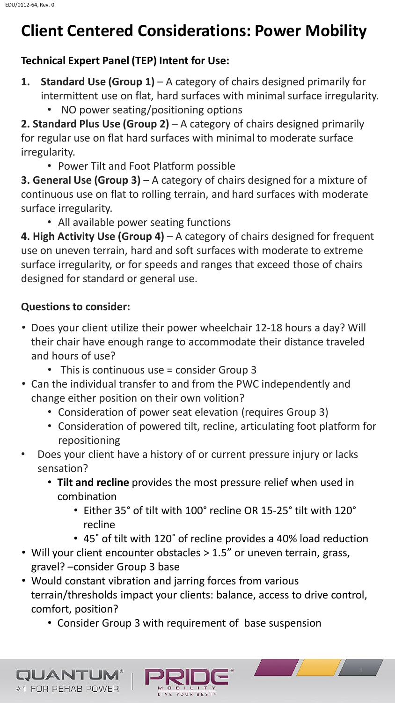# **Client Centered Considerations: Power Mobility**

#### **Technical Expert Panel (TEP) Intent for Use:**

- **1. Standard Use (Group 1)** A category of chairs designed primarily for intermittent use on flat, hard surfaces with minimal surface irregularity.
	- NO power seating/positioning options

**2. Standard Plus Use (Group 2)** – A category of chairs designed primarily for regular use on flat hard surfaces with minimal to moderate surface irregularity.

• Power Tilt and Foot Platform possible

**3. General Use (Group 3)** – A category of chairs designed for a mixture of continuous use on flat to rolling terrain, and hard surfaces with moderate surface irregularity.

• All available power seating functions

**4. High Activity Use (Group 4)** – A category of chairs designed for frequent use on uneven terrain, hard and soft surfaces with moderate to extreme surface irregularity, or for speeds and ranges that exceed those of chairs designed for standard or general use.

#### **Questions to consider:**

QUANTUN #1 FOR REHAB POWER

- Does your client utilize their power wheelchair 12-18 hours a day? Will their chair have enough range to accommodate their distance traveled and hours of use?
	- This is continuous use = consider Group 3
- Can the individual transfer to and from the PWC independently and change either position on their own volition?
	- Consideration of power seat elevation (requires Group 3)
	- Consideration of powered tilt, recline, articulating foot platform for repositioning
- Does your client have a history of or current pressure injury or lacks sensation?
	- **Tilt and recline** provides the most pressure relief when used in combination
		- Either 35° of tilt with 100° recline OR 15-25° tilt with 120° recline
		- 45˚ of tilt with 120˚ of recline provides a 40% load reduction
- Will your client encounter obstacles > 1.5" or uneven terrain, grass, gravel? –consider Group 3 base
- Would constant vibration and jarring forces from various terrain/thresholds impact your clients: balance, access to drive control, comfort, position?

YOUR BEST

• Consider Group 3 with requirement of base suspension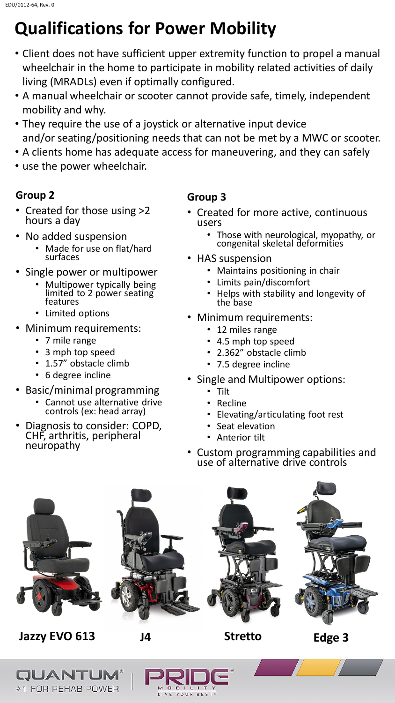# **Qualifications for Power Mobility**

- Client does not have sufficient upper extremity function to propel a manual wheelchair in the home to participate in mobility related activities of daily living (MRADLs) even if optimally configured.
- A manual wheelchair or scooter cannot provide safe, timely, independent mobility and why.
- They require the use of a joystick or alternative input device and/or seating/positioning needs that can not be met by a MWC or scooter.
- A clients home has adequate access for maneuvering, and they can safely
- use the power wheelchair.

#### **Group 2**

- Created for those using >2 hours a day
- No added suspension
	- Made for use on flat/hard surfaces
- Single power or multipower
	- Multipower typically being limited to 2 power seating features
	- Limited options
- Minimum requirements:
	- 7 mile range
	- 3 mph top speed
	- 1.57" obstacle climb
	- 6 degree incline
- Basic/minimal programming
	- Cannot use alternative drive controls (ex: head array)
- Diagnosis to consider: COPD, CHF, arthritis, peripheral neuropathy

#### **Group 3**

- Created for more active, continuous users
	- Those with neurological, myopathy, or congenital skeletal deformities
- HAS suspension
	- Maintains positioning in chair
	- Limits pain/discomfort
	- Helps with stability and longevity of the base
- Minimum requirements:
	- 12 miles range
	- 4.5 mph top speed
	- 2.362" obstacle climb
	- 7.5 degree incline
	- Single and Multipower options:
		- Tilt
		- **Recline**
		- Elevating/articulating foot rest
		- Seat elevation
		- Anterior tilt
	- Custom programming capabilities and use of alternative drive controls